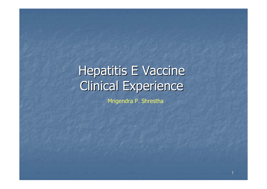# Hepatitis E Vaccine Clinical Experience

Mrigendra P. Shrestha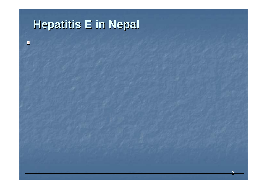# **Hepatitis E in Nepal Hepatitis E in Nepal**

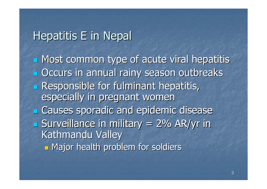# Hepatitis E in Nepal

**I** Most common type of acute viral hepatitis **D** Occurs in annual rainy season outbreaks **Responsible for fulminant hepatitis,** especially in pregnant women **E Causes sporadic and epidemic disease**  $\blacksquare$  Surveillance in military = 2% AR/yr in Kathmandu Valley T. **Hajor health problem for soldiers**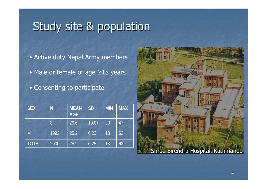# Study site & population

- Active duty Nepal Army members
- Male or female of age ≥18 years
- Consenting to participate

| <b>SEX</b>   | N    | <b>MEAN</b><br><b>AGE</b> | <b>SD</b> | <b>MIN</b> | <b>MAX</b> |
|--------------|------|---------------------------|-----------|------------|------------|
| F            | 8    | 29.6                      | 10.07     | 20         | 47         |
| M.           | 1992 | 25.2                      | 6.23      | 18         | 62         |
| <b>TOTAL</b> | 2000 | 25.2                      | 6.25      | 18         | 62         |

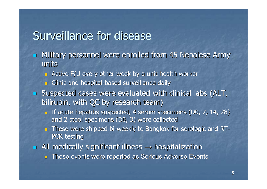# Surveillance for disease

- $\blacksquare$ Military personnel were enrolled from 45 Nepalese Army units
	- **Active F/U every other week by a unit health worker by a unit health worker**
	- **<u><b>B**</u> Clinic and hospital-based surveillance daily
- $\blacksquare$  Suspected cases were evaluated with clinical labs (ALT, bilirubin, with QC by research team)
	- **If acute hepatitis suspected, 4 serum specimens (D0, 7, 14, 28)** and 2 stool specimens (D0, 3) were collected
	- **n** These were shipped bi-weekly to Bangkok for serologic and RT-PCR testing
- $\blacksquare$  All medically significant illness  $\rightarrow$  hospitalization
	- $\blacksquare$  These events were reported as Serious Adverse Events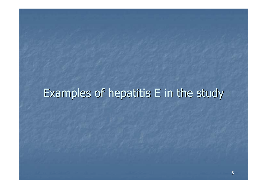# Examples of hepatitis E in the study Examples of hepatitis E in the study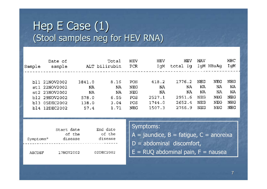### Hep  $E$  Case  $(1)$ (Stool samples neg for HEV RNA)

| Sample | Date of<br>sample |        | Total<br>ALT bilirubin | HEV<br>PCR | HEV<br>IqM | HEV<br>total Iq | <b>HAV</b> | IqM HBsAq | HBC<br>IgM |
|--------|-------------------|--------|------------------------|------------|------------|-----------------|------------|-----------|------------|
|        |                   |        |                        |            |            |                 |            |           |            |
|        | bl1 21NOV2002     | 3841.0 | 8.16                   | POS        | 418.2      | 1776.2          | NEG        | NEG       | NEG        |
|        | st1 22NOV2002     | NA     | NA                     | NEG        | NA         | ΝA              | ΝA         | NA        | NA         |
|        | st2 23NOV2002     | NA     | NA                     | NEG        | ΝA         | ΝA              | ΝA         | NA        | NA         |
|        | bl2 29NOV2002     | 578.0  | 6.55                   | POS        | 2527.1     | 2951.6          | NEG        | NEG       | <b>NEG</b> |
|        | bl3 05DEC2002     | 138.0  | 3.04                   | POS        | 1744.0     | 2652.4          | <b>NEG</b> | NEG       | NEG        |
|        | b14 12DEC2002     | 57.4   | 1.71                   | NEG        | 1507.3     | 2766.9          | NEG        | NEG       | <b>NEG</b> |

|                       | Start date<br>of the | End date<br>of the |
|-----------------------|----------------------|--------------------|
| Symptoms <sup>o</sup> | disease              | disease            |
|                       |                      |                    |
| ABCDEF                | 17NOV2002            | 02DEC2002          |

Symptoms:

- $A =$  jaundice,  $B =$  fatigue,  $C =$  anoreixa
- $D =$  abdominal discomfort,
- $E = R UQ$  abdominal pain,  $F =$  nausea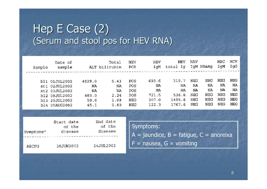### Hep  $E$  Case  $(2)$ (Serum and stool pos for HEV RNA)

| Sample | Date of<br>sample |        | Total<br>ALT bilirubin | HEV<br>PCR | HEV<br>IqM | HEV<br>total Iq | HAV | IqM HBsAq | HBC<br>IqM | HCV<br>IqG |
|--------|-------------------|--------|------------------------|------------|------------|-----------------|-----|-----------|------------|------------|
|        | bl1 01JUL2002     | 4829.0 | 5.43                   | POS        | 690.6      | 319.7           | NEG | NEG       | NEG        | NEG        |
|        | st1 02JUL2002     | NA     | NA                     | POS        | ΝA         | NA              | NA  | NA        | NA         | NA         |
|        | st2 03JUL2002     | NA     | ΝA                     | POS        | NA         | NA              | NA  | ΝA        | NA         | ΝA         |
|        | bl2 08JUL2002     | 483.0  | 2.24                   | POS        | 721.5      | 536.8           | NEG | NEG       | NEG        | NEG        |
|        | bl3 29JUL2002     | 59.6   | 1.08                   | NEG        | 207.0      | 1495.8          | NEG | NEG       | NEG        | NEG        |
|        | bl4 05AUG2002     | 45.1   | 0.69                   | NEG        | 122.3      | 1767.6          | NEG | NEG       | NEG        | <b>NEG</b> |

| Symptoms <sup>o</sup> | Start date<br>of the<br>disease | End date<br>of the<br>disease |
|-----------------------|---------------------------------|-------------------------------|
| ABCFG                 | 30JUN2002                       | 24JUL2002                     |

Symptoms:  $A =$  jaundice,  $B =$  fatigue,  $C =$  anoreixa  $\overline{F}$  = nausea, G = vomiting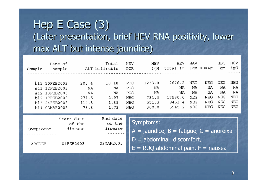# Hep  $E$  Case  $(3)$ (Later presentation, brief HEV RNA positivity, lower max ALT but intense jaundice)

|        | Date of       |       | Total         | <b>HEV</b> | HEV                    | HEV      | HAV |           | HBC        | HCV        |
|--------|---------------|-------|---------------|------------|------------------------|----------|-----|-----------|------------|------------|
| Sample | sample        |       | ALT bilirubin | PCR        | IqM                    | total Ig |     | IgM HBsAg | IqM        | IgG        |
|        |               |       |               |            |                        |          |     |           |            |            |
|        |               |       |               |            |                        |          |     |           |            |            |
|        | bl1 10FEB2003 | 205.4 | 10.18         | POS        | 1233.0                 | 2676.2   | NEG | NEG       | <b>NEG</b> | NEG        |
|        | st1 12FEB2003 | NA    | NA            | POS        | ΝA                     | NA       | NA  | NA        | ΝA         | ΝA         |
|        | st2 13FEB2003 | ΝA    | NA            | POS        | NA                     | NA       | NA  | NA        | NA         | ΝA         |
|        | bl2 17FEB2003 | 271.5 | 2.97          | NEG        | 731.3                  | 17580.0  | NEG | NEG       | NEG        | NEG        |
|        | bl3 24FEB2003 | 114.8 | 1.89          | <b>NEG</b> | 551.3                  | 9453.4   | NEG | NEG       | NEG        | <b>NEG</b> |
|        | bl4 03MAR2003 | 78.8  | 1.73          | <b>NEG</b> | 300.0                  | 5945.2   | NEG | NEG       | NEG        | <b>NEG</b> |
|        |               |       |               |            |                        |          |     |           |            |            |
|        |               |       | End date      |            |                        |          |     |           |            |            |
|        | Start date    |       |               |            | $C1$ $m_2$ $n_3$ $n_4$ |          |     |           |            |            |

| End date<br>of the<br>disease | Start date<br>of the<br>disease | Symptoms <sup>o</sup> |
|-------------------------------|---------------------------------|-----------------------|
| 03MAR2003                     | 04FEB2003                       | ABCDEF                |

SYHIDLOHIS.

- $\overline{A}$  = jaundice,  $\overline{B}$  = fatigue,  $C$  = anoreixa
- $D =$  abdominal discomfort,
- $E = R UQ$  abdominal pain.  $F =$  nausea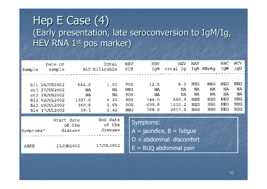### Hep  $E$  Case  $(4)$ (Early presentation, late seroconversion to IgM/Ig, HEV RNA 1st pos marker)

| Sample                | Date of<br>sample                                                                          |                                              | Total<br>ALT bilirubin                   | HEV<br>PCR                             | HEV<br>IqM                                              | HEV<br>total Ig                              | HAV                                  | IgM HBsAg                            | HBC<br>IqM                           | HCV<br>IgG                           |
|-----------------------|--------------------------------------------------------------------------------------------|----------------------------------------------|------------------------------------------|----------------------------------------|---------------------------------------------------------|----------------------------------------------|--------------------------------------|--------------------------------------|--------------------------------------|--------------------------------------|
| st2<br>bl2            | bl1 26JUN2002<br>st1 27JUN2002<br>28JUN2002<br>02JUL2002<br>bl3 09JUL2002<br>bl4 17JUL2002 | 642.0<br>NA<br>NA<br>1307.0<br>160.6<br>39.1 | 1.01<br>NA<br>NA<br>4.26<br>1.65<br>1.42 | POS<br>NEG<br>POS<br>POS<br>POS<br>NEG | 12.5<br>NA<br>NA<br>744.0<br>690.8<br>768.6             | 9.3<br>ΝA<br>ΝA<br>680.9<br>1692.2<br>2617.6 | NEG<br>ΝA<br>NA<br>NEG<br>NEG<br>NEG | NEG<br>NA<br>NA<br>NEG<br>NEG<br>NEG | NEG<br>NA<br>NA<br>NEG<br>NEG<br>NEG | NEG<br>NA<br>NA<br>NEG<br>NEG<br>NEG |
| Symptoms <sup>o</sup> | Start date                                                                                 | of the<br>disease                            | End date<br>of the<br>disease            |                                        | Symptoms:<br>$\overline{A}$ = jaundice, B = fatigue     |                                              |                                      |                                      |                                      |                                      |
| ABDE                  |                                                                                            | 23JUN2002                                    | 17JUL2002                                |                                        | $D =$ abdominal discomfort<br>$E = R UQ$ abdominal pain |                                              |                                      |                                      |                                      |                                      |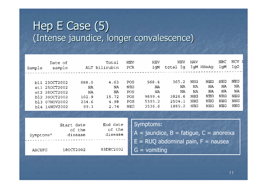## Hep  $E$  Case  $(5)$ (Intense jaundice, longer convalescence)

| Sample                   | Date of<br>sample                                                                  |                                             | Total<br>ALT bilirubin                    | <b>HEV</b><br>PCR                      | HEV<br>IgM                                      | HEV<br>total Ig                                                                      | HAV                                  | IgM HBsAg                            | HBC<br>IgM                           | HCV<br>IgG                           |
|--------------------------|------------------------------------------------------------------------------------|---------------------------------------------|-------------------------------------------|----------------------------------------|-------------------------------------------------|--------------------------------------------------------------------------------------|--------------------------------------|--------------------------------------|--------------------------------------|--------------------------------------|
| stl<br>st2<br>bl2<br>bl3 | bl1 230CT2002<br>250CT2002<br>260CT2002<br>300CT2002<br>07NOV2002<br>bl4 14NOV2002 | 688.0<br>NA<br>ΝA<br>102.9<br>234.6<br>99.3 | 4.63<br>NA<br>NA<br>15.72<br>4.98<br>2.74 | POS<br>NEG<br>POS<br>POS<br>POS<br>NEG | 568.4<br>ΝA<br>NA<br>9899.4<br>5393.2<br>3536.6 | 365.2<br>ΝA<br>ΝA<br>3826.6<br>2504.1<br>1885.2                                      | NEG<br>ΝA<br>ΝA<br>NEG<br>NEG<br>NEG | NEG<br>NA<br>NA<br>NEG<br>NEG<br>NEG | NEG<br>NA<br>ΝA<br>NEG<br>NEG<br>NEG | NEG<br>NA<br>NA<br>NEG<br>NEG<br>NEG |
|                          |                                                                                    |                                             |                                           |                                        |                                                 |                                                                                      |                                      |                                      |                                      |                                      |
| Symptoms <sup>o</sup>    |                                                                                    | Start date<br>of the<br>disease             | End date<br>of the<br>disease             |                                        | Symptoms:                                       | $A =$ jaundice, B = fatigue, C = anoreixa<br>$E = R UQ$ abdominal pain, $F =$ nausea |                                      |                                      |                                      |                                      |
| ABCEFG                   |                                                                                    | 180CT2002                                   | 03DEC2002                                 |                                        | $G =$ vomiting                                  |                                                                                      |                                      |                                      |                                      |                                      |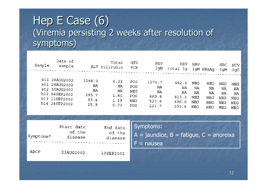### Hep  $E$  Case  $(6)$ (Viremia persisting 2 weeks after resolution of symptoms)

| <b>HCV</b><br>IqG | HBC<br>IgM | IgM HBsAg  | <b>HAV</b> | HEV<br>total<br>Iq | <b>HEV</b><br>IqM | <b>HEV</b><br>PCR | Total<br>ALT bilirubin |        | Date of<br>sample | Sample |
|-------------------|------------|------------|------------|--------------------|-------------------|-------------------|------------------------|--------|-------------------|--------|
| NEG               | NEG        | <b>NEG</b> | NEG        | 442.4              | 1274.7            | POS               | 6.22                   | 1248.0 | bl1 28AUG2002     |        |
| NA                | NA         | NA         | ΝA         | NA                 | NA                | POS               | NA                     | NA     | st1 29AUG2002     |        |
| NA                | ΝA         | NA         | ΝA         | NA                 | NA                | <b>NEG</b>        | NA                     | NA     | st2 30AUG2002     |        |
| <b>NEG</b>        | NEG        | NEG        | NEG        | 413.3              | 669.8             | POS               | 1.80                   | 295.7  | bl2 04SEP2002     |        |
| <b>NEG</b>        | NEG        | NEG        | <b>NEG</b> | 496.0              | 527.8             | <b>NEG</b>        | 1.19                   | 93.4   | bl3 11SEP2002     |        |
| NEG               | NEG        | <b>NEG</b> | <b>NEG</b> | 355.9              | 221.7             | POS               | 0.73                   | 25.9   | bl4 24SEP2002     |        |

| Symptoms <sup>o</sup> | Start date<br>of the<br>disease | End date<br>of the<br>disease |
|-----------------------|---------------------------------|-------------------------------|
| ABCF                  | 23AUG2002                       | 10SEP2002                     |

Symptoms:

 $A =$  jaundice,  $B =$  fatigue,  $C =$  anoreixa F = nausea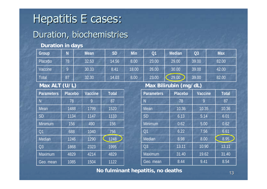# Hepatitis E cases:

### Duration, biochemistries

### **Duration in days**

| Group   | $\mathsf{N}$ | <b>Mean</b> | <b>SD</b> | <b>Min</b> | Q <sub>1</sub> | <b>Median</b> | Q <sub>3</sub> | <b>Max</b> |
|---------|--------------|-------------|-----------|------------|----------------|---------------|----------------|------------|
| Placebo | 78           | 32.53       | 14.56     | 8.00       | 23.00          | 29.00         | 39.00          | 82.00      |
| Vaccine |              | 30.33       | 8.41      | 18.00      | 26.00          | 30.00         | 39.00          | 42.00      |
| Total   | 87           | 32.30       | 14.03     | $8.00^{1}$ | 23.00          | 29.00         | 39.00          | 82.00      |

#### **Max ALT (U/L)**

| <b>Parameters</b> | <b>Placebo</b> | <b>Vaccine</b> | <b>Total</b>      |
|-------------------|----------------|----------------|-------------------|
| N                 | 78             | 9              | 87                |
| Mean              | 1488           | 1799           | 1520              |
| <b>SD</b>         | 1134           | 1147           | 1133              |
| Minimum           | 156            | 490            | 156               |
| Q <sub>1</sub>    | 688            | 1040           | 756               |
| Median            | 1246           | 1290           | $12\overline{48}$ |
| Q <sub>3</sub>    | 1868           | 2323           | 1995              |
| Maximum           | 4829           | 4214           | 4829              |
| Geo. mean         | 1085           | 1504           | 1122              |

### **Max Bilirubin (mg/dL)**

| <b>Parameters</b> | <b>Placebo</b> | <b>Vaccine</b> | <b>Total</b> |
|-------------------|----------------|----------------|--------------|
| N                 | 78             | 9              | 87           |
| Mean              | 10.36          | 10.35          | 10.36        |
| <b>SD</b>         | 6.13           | 5.14           | 6.01         |
| Minimum           | 0.62           | 5.00           | 0.62         |
| Q <sub>1</sub>    | 6.22           | 7.56           | 6.61         |
| Median            | 8.98           | 8.00           | 8.95         |
| Q <sub>3</sub>    | 13.11          | 10.90          | 13.11        |
| <b>Maximum</b>    | 31.40          | 19.62          | 31.40        |
| Geo. mean         | 8.44           | 9.41           | 8.54         |

**No fulminant hepatitis, no deaths**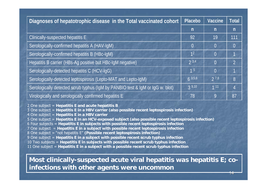| Diagnoses of hepatotrophic disease in the Total vaccinated cohort             |                | Vaccine        | <b>Total</b>   |
|-------------------------------------------------------------------------------|----------------|----------------|----------------|
|                                                                               | $\mathsf{n}$   | $\mathsf{n}$   | n              |
| Clinically-suspected hepatitis E                                              | 92             | 19             | 111            |
| Serologically-confirmed hepatitis A (HAV-IgM)                                 | $\overline{0}$ | $\overline{0}$ | $\pmb{0}$      |
| Serologically-confirmed hepatitis B (HBc-IgM)                                 | 1 <sup>2</sup> | $\overline{0}$ |                |
| Hepatitis B carrier (HBs-Ag positive but HBc-IgM negative)                    | 23.4           | $\overline{0}$ | $\overline{2}$ |
| Serologically-detected hepatitis C (HCV-IgG)                                  | 1 <sup>5</sup> | $\overline{0}$ |                |
| Serologically-detected leptospirosis (Lepto-MAT and Lepto-IgM)                | $6^{3,5,6}$    | $2^{7,8}$      | 8              |
| Serologically detected scrub typhus (IgM by PANBIO test & IgM or IgG w. blot) | 39,10          | 111            |                |
| Virologically and serologically confirmed hepatitis E                         | 78             | 9              | 87             |

2 One subject = **Hepatitis E and acute hepatitis B**

3 One subject = **Hepatitis E in a HBV carrier (also possible recent leptospirosis infection)** 

4 One subject = **Hepatitis E in a HBV carrier**

5 One subject = **Hepatitis E in an HCV-exposed subject (also possible recent leptospirosis infection)**

6 Four subjects = **Hepatitis E in subjects with possible recent leptospirosis infection**

7 One subject = **Hepatitis E in a subject with possible recent leptospirosis infection**

8 One subject = "not hepatitis E" **(Possible recent leptospirosis infection)**

9 One subject = **Hepatitis E in a subject with possible recent scrub typhus infection**

10 Two subjects = **Hepatitis E in subjects with possible recent scrub typhus infection**

11 One subject = **Hepatitis E in a subject with a possible recent scrub typhus infection**

### **Most clinically-suspected acute viral hepatitis was hepatitis E; coinfections with other agents were uncommon**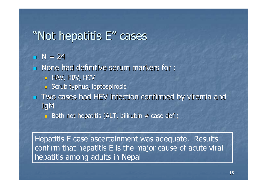# "Not hepatitis  $E''$  cases

 $N = 24$ 

- $\blacksquare$  None had definitive serum markers for :
	- $\blacksquare$  HAV, HBV, HCV
	- $\Box$  Scrub typhus, leptospirosis
- $\blacksquare$  Two cases had HEV infection confirmed by viremia and **IgM** 
	- Both not hepatitis (ALT, bilirubin ≠ case def.)

Hepatitis E case ascertainment was adequate. Results confirm that hepatitis E is the major cause of acute viral hepatitis among adults in Nepal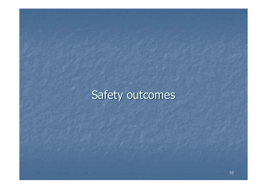# Safety outcomes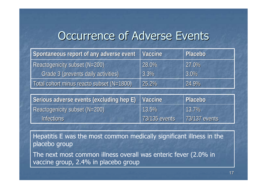## Occurrence of Adverse Events

| Spontaneous report of any adverse event   | <b>Vaccine</b> | Placebo |
|-------------------------------------------|----------------|---------|
| Reactogenicity subset (N=200)             | 28.0%          | 27.0%   |
| Grade 3 (prevents daily activities)       | $3.3\%$        | 3.0%    |
| Total cohort minus reacto subset (N=1800) | 25.2%          | 24.9%   |

| Serious adverse events (excluding hep E) | <b>Vaccine</b> | <b>Placebo</b> |
|------------------------------------------|----------------|----------------|
| Reactogenicity subset (N=200)            | 13.5%          | 13.7%          |
| <b>Infections</b>                        | 73/135 events  | 73/137 events  |

Hepatitis E was the most common medically significant illness in the placebo group

The next most common illness overall was enteric fever (2.0% in vaccine group, 2.4% in placebo group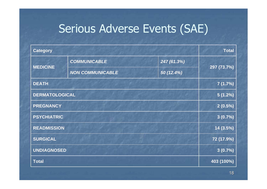# Serious Adverse Events (SAE)

| <b>Category</b>       |                         | <b>Total</b> |             |
|-----------------------|-------------------------|--------------|-------------|
| <b>MEDICINE</b>       | <b>COMMUNICABLE</b>     | 247 (61.3%)  | 297 (73.7%) |
|                       | <b>NON COMMUNICABLE</b> | 50 (12.4%)   |             |
| <b>DEATH</b>          |                         |              | 7(1.7%)     |
| <b>DERMATOLOGICAL</b> |                         | $5(1.2\%)$   |             |
| <b>PREGNANCY</b>      |                         | $2(0.5\%)$   |             |
| <b>PSYCHIATRIC</b>    |                         | 3(0.7%)      |             |
| <b>READMISSION</b>    |                         | 14 (3.5%)    |             |
| <b>SURGICAL</b>       |                         | 72 (17.9%)   |             |
| <b>UNDIAGNOSED</b>    |                         | 3(0.7%)      |             |
| <b>Total</b>          |                         | 403 (100%)   |             |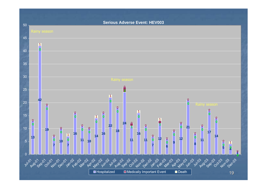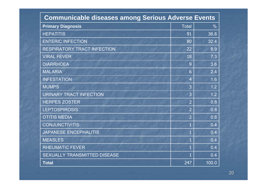| <b>Communicable diseases among Serious Adverse Events</b> |                |               |
|-----------------------------------------------------------|----------------|---------------|
| <b>Primary Diagnosis</b>                                  | <b>Total</b>   | $\frac{0}{0}$ |
| <b>HEPATITIS</b>                                          | 91             | 36.8          |
| <b>ENTERIC INFECTION</b>                                  | 80             | 32.4          |
| RESPIRATORY TRACT INFECTION                               | 22             | 8.9           |
| <b>VIRAL FEVER</b>                                        | 18             | 7.3           |
| <b>DIARRHOEA</b>                                          | 9              | 3.6           |
| <b>MALARIA</b>                                            | 6              | 2.4           |
| <b>INFESTATION</b>                                        | $\overline{4}$ | 1.6           |
| <b>MUMPS</b>                                              | 3              | 1.2           |
| <b>URINARY TRACT INFECTION</b>                            | 3              | 1.2           |
| <b>HERPES ZOSTER</b>                                      | $\overline{2}$ | 0.8           |
| <b>LEPTOSPIROSIS</b>                                      | 2              | 0.8           |
| <b>OTITIS MEDIA</b>                                       | $\overline{2}$ | 0.8           |
| <b>CONJUNCTIVITIS</b>                                     |                | 0.4           |
| <b>JAPANESE ENCEPHALITIS</b>                              | 1              | 0.4           |
| <b>MEASLES</b>                                            | 1              | 0.4           |
| <b>RHEUMATIC FEVER</b>                                    | $\overline{1}$ | 0.4           |
| SEXUALLY TRANSMITTED DISEASE                              | 1              | 0.4           |
| <b>Total</b>                                              | 247            | 100.0         |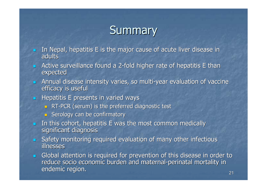# **Summary**

- $\mathbb{Z}$ In Nepal, hepatitis E is the major cause of acute liver disease in **adults**
- $\blacksquare$ Active surveillance found a 2-fold higher rate of hepatitis E than expected
- $\blacksquare$ Annual disease intensity varies, so multi-year evaluation of vaccine efficacy is useful
- $\blacksquare$ Hepatitis E presents in varied ways
	- $\blacksquare$  RT-PCR (serum) is the preferred diagnostic test
	- **Budgenship Serology can be confirmatory**
- $\blacksquare$ In this cohort, hepatitis E was the most common medically significant diagnosis
- $\blacksquare$ Safety monitoring required evaluation of many other infectious illnesses
- Global attention is required for prevention of this disease in order to  $\overline{\phantom{a}}$ reduce socio economic burden and maternal-perinatal mortality in endemic region.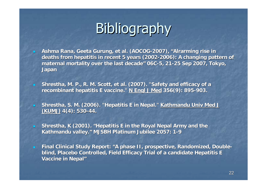# **Bibliography**

- **Ashma Rana, Geeta Gurung, et al. (AOCOG-2007), " 2007), "Alrarming Alrarming rise in rise in**  deaths from hepatitis in recent 5 years (2002-2006): A changing pattern of maternal mortality over the last decade" 06C-5, 21-25 Sep 2007, Tokyo, **Japan**
- Shrestha, M. P., R. M. Scott, et al. (2007). "Safety and efficacy of a **recombinant hepatitis E vaccine." N Engl J Med 356(9): 895-903.**

 $\blacksquare$ 

- Shrestha, S. M. (2006). "Hepatitis E in Nepal." Kathmandu Univ Med J **(KUMJ) 4(4): 530 4(4): 530-44.**
- $\blacksquare$  **Shrestha, K (2001). "Hepatitis E in the Royal Nepal Army and the Shrestha, K (2001). "Hepatitis E in the Royal Nepal Army and the** Kathmandu valley." MJSBH Platinum Jubilee 2057: 1-9
- $\blacksquare$ Final Clinical Study Report: "A phase II, prospective, Randomized, Double**blind, Placebo Controlled, Field Efficacy Trial of a candidate Hepatitis E Vaccine in Nepal" Vaccine in Nepal"**